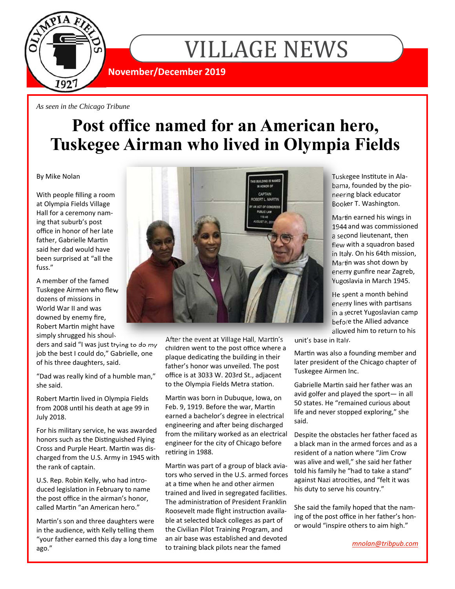

VILLAGE NEWS

**November/December 2019** 

*As seen in the Chicago Tribune* 

## **Post office named for an American hero, Tuskegee Airman who lived in Olympia Fields**

By Mike Nolan

With people filling a room at Olympia Fields Village Hall for a ceremony naming that suburb's post office in honor of her late father, Gabrielle Martin said her dad would have been surprised at "all the fuss."

A member of the famed Tuskegee Airmen who flew dozens of missions in World War II and was downed by enemy fire, Robert Martin might have simply shrugged his shoul-

ders and said "I was just trying to do my job the best I could do," Gabrielle, one of his three daughters, said.

"Dad was really kind of a humble man," she said.

Robert Martin lived in Olympia Fields from 2008 until his death at age 99 in July 2018.

For his military service, he was awarded honors such as the Distinguished Flying Cross and Purple Heart. Martin was discharged from the U.S. Army in 1945 with the rank of captain.

U.S. Rep. Robin Kelly, who had introduced legislation in February to name the post office in the airman's honor, called Martin "an American hero."

Martin's son and three daughters were in the audience, with Kelly telling them "your father earned this day a long time ago."



After the event at Village Hall, Martin's children went to the post office where a plaque dedicating the building in their father's honor was unveiled. The post office is at 3033 W. 203rd St., adjacent to the Olympia Fields Metra station.

Martin was born in Dubuque, Iowa, on Feb. 9, 1919. Before the war, Martin earned a bachelor's degree in electrical engineering and after being discharged from the military worked as an electrical engineer for the city of Chicago before retiring in 1988.

Martin was part of a group of black aviators who served in the U.S. armed forces at a time when he and other airmen trained and lived in segregated facilities. The administration of President Franklin Roosevelt made flight instruction available at selected black colleges as part of the Civilian Pilot Training Program, and an air base was established and devoted to training black pilots near the famed

Tuskegee Institute in Alabama, founded by the pioneering black educator Booker T. Washington.

Martin earned his wings in 1944 and was commissioned a second lieutenant, then flew with a squadron based in Italy. On his 64th mission, Martin was shot down by enemy gunfire near Zagreb, Yugoslavia in March 1945.

He spent a month behind enemy lines with partisans in a secret Yugoslavian camp before the Allied advance allowed him to return to his

unit's base in Italy.

Martin was also a founding member and later president of the Chicago chapter of Tuskegee Airmen Inc.

Gabrielle Martin said her father was an avid golfer and played the sport— in all 50 states. He "remained curious about life and never stopped exploring," she said.

Despite the obstacles her father faced as a black man in the armed forces and as a resident of a nation where "Jim Crow was alive and well," she said her father told his family he "had to take a stand" against Nazi atrocities, and "felt it was his duty to serve his country."

She said the family hoped that the naming of the post office in her father's honor would "inspire others to aim high."

*mnolan@tribpub.com*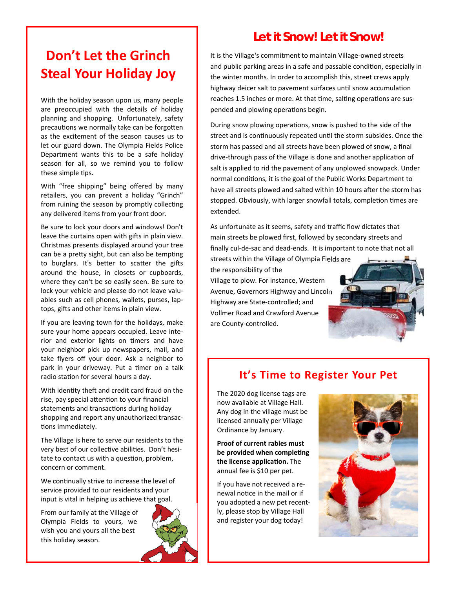### **Don't Let the Grinch Steal Your Holiday Joy**

With the holiday season upon us, many people are preoccupied with the details of holiday planning and shopping. Unfortunately, safety precautions we normally take can be forgotten as the excitement of the season causes us to let our guard down. The Olympia Fields Police Department wants this to be a safe holiday season for all, so we remind you to follow these simple tips.

With "free shipping" being offered by many retailers, you can prevent a holiday "Grinch" from ruining the season by promptly collecting any delivered items from your front door.

Be sure to lock your doors and windows! Don't leave the curtains open with gifts in plain view. Christmas presents displayed around your tree can be a pretty sight, but can also be tempting to burglars. It's better to scatter the gifts around the house, in closets or cupboards, where they can't be so easily seen. Be sure to lock your vehicle and please do not leave valuables such as cell phones, wallets, purses, laptops, gifts and other items in plain view.

If you are leaving town for the holidays, make sure your home appears occupied. Leave interior and exterior lights on timers and have your neighbor pick up newspapers, mail, and take flyers off your door. Ask a neighbor to park in your driveway. Put a timer on a talk radio station for several hours a day.

With identity theft and credit card fraud on the rise, pay special attention to your financial statements and transactions during holiday shopping and report any unauthorized transactions immediately.

The Village is here to serve our residents to the very best of our collective abilities. Don't hesitate to contact us with a question, problem, concern or comment.

We continually strive to increase the level of service provided to our residents and your input is vital in helping us achieve that goal.

From our family at the Village of Olympia Fields to yours, we wish you and yours all the best this holiday season.

### **Let it Snow! Let it Snow!**  It is the Village's commitment to maintain Village-owned streets

and public parking areas in a safe and passable condition, especially in the winter months. In order to accomplish this, street crews apply highway deicer salt to pavement surfaces until snow accumulation reaches 1.5 inches or more. At that time, salting operations are suspended and plowing operations begin.

During snow plowing operations, snow is pushed to the side of the street and is continuously repeated until the storm subsides. Once the storm has passed and all streets have been plowed of snow, a final drive-through pass of the Village is done and another application of salt is applied to rid the pavement of any unplowed snowpack. Under normal conditions, it is the goal of the Public Works Department to have all streets plowed and salted within 10 hours after the storm has stopped. Obviously, with larger snowfall totals, completion times are extended.

As unfortunate as it seems, safety and traffic flow dictates that main streets be plowed first, followed by secondary streets and finally cul-de-sac and dead-ends. It is important to note that not all

streets within the Village of Olympia Fields are the responsibility of the Village to plow. For instance, Western Avenue, Governors Highway and Lincoln Highway are State-controlled; and Vollmer Road and Crawford Avenue are County-controlled.

### **It's Time to Register Your Pet**

The 2020 dog license tags are now available at Village Hall. Any dog in the village must be licensed annually per Village Ordinance by January.

**Proof of current rabies must**  be provided when completing **the license application.** The annual fee is \$10 per pet.

If you have not received a renewal notice in the mail or if you adopted a new pet recently, please stop by Village Hall and register your dog today!



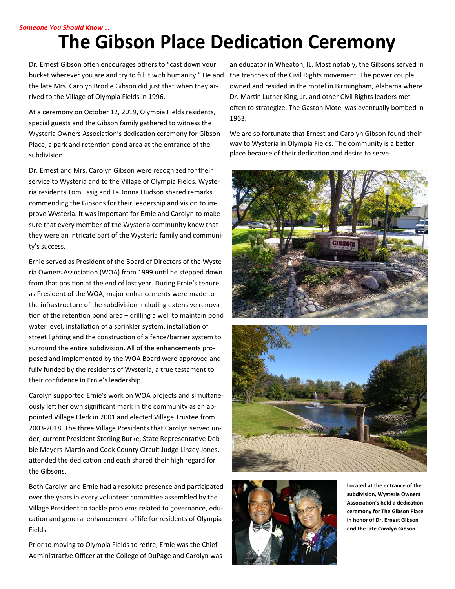#### *Someone You Should Know …*

# **The Gibson Place Dedication Ceremony**

Dr. Ernest Gibson often encourages others to "cast down your bucket wherever you are and try to fill it with humanity." He and the late Mrs. Carolyn Brodie Gibson did just that when they arrived to the Village of Olympia Fields in 1996.

At a ceremony on October 12, 2019, Olympia Fields residents, special guests and the Gibson family gathered to witness the Wysteria Owners Association's dedication ceremony for Gibson Place, a park and retention pond area at the entrance of the subdivision.

Dr. Ernest and Mrs. Carolyn Gibson were recognized for their service to Wysteria and to the Village of Olympia Fields. Wysteria residents Tom Essig and LaDonna Hudson shared remarks commending the Gibsons for their leadership and vision to improve Wysteria. It was important for Ernie and Carolyn to make sure that every member of the Wysteria community knew that they were an intricate part of the Wysteria family and community's success.

Ernie served as President of the Board of Directors of the Wysteria Owners Association (WOA) from 1999 until he stepped down from that position at the end of last year. During Ernie's tenure as President of the WOA, major enhancements were made to the infrastructure of the subdivision including extensive renovation of the retention pond area - drilling a well to maintain pond water level, installation of a sprinkler system, installation of street lighting and the construction of a fence/barrier system to surround the entire subdivision. All of the enhancements proposed and implemented by the WOA Board were approved and fully funded by the residents of Wysteria, a true testament to their confidence in Ernie's leadership.

Carolyn supported Ernie's work on WOA projects and simultaneously left her own significant mark in the community as an appointed Village Clerk in 2001 and elected Village Trustee from 2003-2018. The three Village Presidents that Carolyn served under, current President Sterling Burke, State Representative Debbie Meyers-Martin and Cook County Circuit Judge Linzey Jones, attended the dedication and each shared their high regard for the Gibsons.

Both Carolyn and Ernie had a resolute presence and participated over the years in every volunteer committee assembled by the Village President to tackle problems related to governance, education and general enhancement of life for residents of Olympia Fields.

Prior to moving to Olympia Fields to retire, Ernie was the Chief Administrative Officer at the College of DuPage and Carolyn was

an educator in Wheaton, IL. Most notably, the Gibsons served in the trenches of the Civil Rights movement. The power couple owned and resided in the motel in Birmingham, Alabama where Dr. Martin Luther King, Jr. and other Civil Rights leaders met often to strategize. The Gaston Motel was eventually bombed in 1963.

We are so fortunate that Ernest and Carolyn Gibson found their way to Wysteria in Olympia Fields. The community is a better place because of their dedication and desire to serve.







**Located at the entrance of the subdivision, Wysteria Owners AssociaƟon's held a dedicaƟon ceremony for The Gibson Place in honor of Dr. Ernest Gibson and the late Carolyn Gibson.**